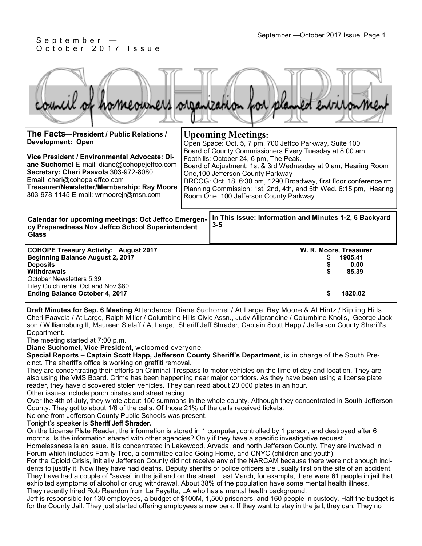#### September —October 2017 Issue, Page 1 September —October 2017 Issue, Page 1 O c t o b e r 2017 Issue

aro

| The Facts-President / Public Relations /<br><b>Development: Open</b><br>Vice President / Environmental Advocate: Di-<br>ane Suchomel E-mail: diane@cohopejeffco.com<br>Secretary: Cheri Paavola 303-972-8080<br>Email: cheri@cohopejeffco.com<br>Treasurer/Newsletter/Membership: Ray Moore<br>303-978-1145 E-mail: wrmoorejr@msn.com |  | <b>Upcoming Meetings:</b><br>Open Space: Oct. 5, 7 pm, 700 Jeffco Parkway, Suite 100<br>Board of County Commissioners Every Tuesday at 8:00 am<br>Foothills: October 24, 6 pm, The Peak.<br>Board of Adjustment: 1st & 3rd Wednesday at 9 am, Hearing Room<br>One, 100 Jefferson County Parkway<br>DRCOG: Oct. 18, 6:30 pm, 1290 Broadway, first floor conference rm<br>Planning Commission: 1st, 2nd, 4th, and 5th Wed. 6:15 pm, Hearing<br>Room One, 100 Jefferson County Parkway |
|---------------------------------------------------------------------------------------------------------------------------------------------------------------------------------------------------------------------------------------------------------------------------------------------------------------------------------------|--|-------------------------------------------------------------------------------------------------------------------------------------------------------------------------------------------------------------------------------------------------------------------------------------------------------------------------------------------------------------------------------------------------------------------------------------------------------------------------------------|
| <b>Calendar for upcoming meetings: Oct Jeffco Emergen-</b><br>cy Preparedness Nov Jeffco School Superintendent<br><b>Glass</b>                                                                                                                                                                                                        |  | In This Issue: Information and Minutes 1-2, 6 Backyard<br>$3 - 5$                                                                                                                                                                                                                                                                                                                                                                                                                   |
| <b>COHOPE Treasury Activity: August 2017</b><br><b>Beginning Balance August 2, 2017</b><br><b>Deposits</b><br><b>Withdrawals</b><br>October Newsletters 5.39<br>Liley Gulch rental Oct and Nov \$80<br><b>Ending Balance October 4, 2017</b>                                                                                          |  | W. R. Moore, Treasurer<br>1905.41<br>0.00<br>85.39<br>1820.02                                                                                                                                                                                                                                                                                                                                                                                                                       |

**Draft Minutes for Sep. 6 Meeting** Attendance: Diane Suchomel / At Large, Ray Moore & Al Hintz / Kipling Hills, Cheri Paavola / At Large, Ralph Miller / Columbine Hills Civic Assn., Judy Alliprandine / Columbine Knolls, George Jackson / Williamsburg II, Maureen Sielaff / At Large, Sheriff Jeff Shrader, Captain Scott Happ / Jefferson County Sheriff's Department.

The meeting started at 7:00 p.m.

**Diane Suchomel, Vice President,** welcomed everyone.

**Special Reports – Captain Scott Happ, Jefferson County Sheriff's Department**, is in charge of the South Precinct. The sheriff's office is working on graffiti removal.

They are concentrating their efforts on Criminal Trespass to motor vehicles on the time of day and location. They are also using the VMS Board. Crime has been happening near major corridors. As they have been using a license plate reader, they have discovered stolen vehicles. They can read about 20,000 plates in an hour.

Other issues include porch pirates and street racing.

Over the 4th of July, they wrote about 150 summons in the whole county. Although they concentrated in South Jefferson County. They got to about 1/6 of the calls. Of those 21% of the calls received tickets.

No one from Jefferson County Public Schools was present.

Tonight's speaker is **Sheriff Jeff Shrader.**

On the License Plate Reader, the information is stored in 1 computer, controlled by 1 person, and destroyed after 6 months. Is the information shared with other agencies? Only if they have a specific investigative request.

Homelessness is an issue. It is concentrated in Lakewood, Arvada, and north Jefferson County. They are involved in Forum which includes Family Tree, a committee called Going Home, and CNYC (children and youth).

For the Opioid Crisis, initially Jefferson County did not receive any of the NARCAM because there were not enough incidents to justify it. Now they have had deaths. Deputy sheriffs or police officers are usually first on the site of an accident. They have had a couple of "saves" in the jail and on the street. Last March, for example, there were 61 people in jail that exhibited symptoms of alcohol or drug withdrawal. About 38% of the population have some mental health illness. They recently hired Rob Reardon from La Fayette, LA who has a mental health background.

Jeff is responsible for 130 employees, a budget of \$100M, 1,500 prisoners, and 160 people in custody. Half the budget is for the County Jail. They just started offering employees a new perk. If they want to stay in the jail, they can. They no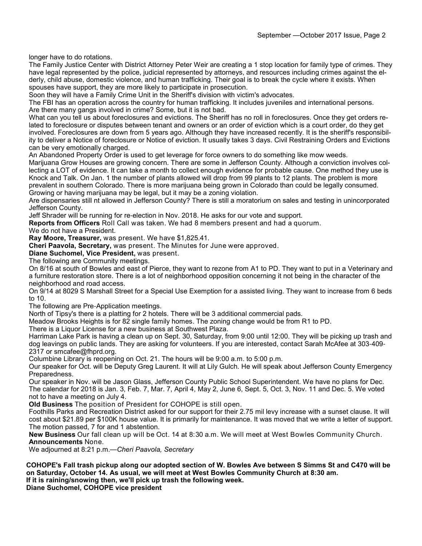longer have to do rotations.

The Family Justice Center with District Attorney Peter Weir are creating a 1 stop location for family type of crimes. They have legal represented by the police, judicial represented by attorneys, and resources including crimes against the elderly, child abuse, domestic violence, and human trafficking. Their goal is to break the cycle where it exists. When spouses have support, they are more likely to participate in prosecution.

Soon they will have a Family Crime Unit in the Sheriff's division with victim's advocates.

The FBI has an operation across the country for human trafficking. It includes juveniles and international persons. Are there many gangs involved in crime? Some, but it is not bad.

What can you tell us about foreclosures and evictions. The Sheriff has no roll in foreclosures. Once they get orders related to foreclosure or disputes between tenant and owners or an order of eviction which is a court order, do they get involved. Foreclosures are down from 5 years ago. Although they have increased recently. It is the sheriff's responsibility to deliver a Notice of foreclosure or Notice of eviction. It usually takes 3 days. Civil Restraining Orders and Evictions can be very emotionally charged.

An Abandoned Property Order is used to get leverage for force owners to do something like mow weeds.

Marijuana Grow Houses are growing concern. There are some in Jefferson County. Although a conviction involves collecting a LOT of evidence. It can take a month to collect enough evidence for probable cause. One method they use is Knock and Talk. On Jan. 1 the number of plants allowed will drop from 99 plants to 12 plants. The problem is more prevalent in southern Colorado. There is more marijuana being grown in Colorado than could be legally consumed. Growing or having marijuana may be legal, but it may be a zoning violation.

Are dispensaries still nt allowed in Jefferson County? There is still a moratorium on sales and testing in unincorporated Jefferson County.

Jeff Shrader will be running for re-election in Nov. 2018. He asks for our vote and support.

**Reports from Officers** Roll Call was taken. We had 8 members present and had a quorum.

We do not have a President.

**Ray Moore, Treasurer,** was present. We have \$1,825.41.

**Cheri Paavola, Secretary,** was present. The Minutes for June were approved.

**Diane Suchomel, Vice President,** was present.

The following are Community meetings.

On 8/16 at south of Bowles and east of Pierce, they want to rezone from A1 to PD. They want to put in a Veterinary and a furniture restoration store. There is a lot of neighborhood opposition concerning it not being in the character of the neighborhood and road access.

On 9/14 at 8029 S Marshall Street for a Special Use Exemption for a assisted living. They want to increase from 6 beds to 10.

The following are Pre-Application meetings.

North of Tipsy's there is a platting for 2 hotels. There will be 3 additional commercial pads.

Meadow Brooks Heights is for 82 single family homes. The zoning change would be from R1 to PD.

There is a Liquor License for a new business at Southwest Plaza.

Harriman Lake Park is having a clean up on Sept. 30, Saturday, from 9:00 until 12:00. They will be picking up trash and dog leavings on public lands. They are asking for volunteers. If you are interested, contact Sarah McAfee at 303-409- 2317 or smcafee@fhprd.org.

Columbine Library is reopening on Oct. 21. The hours will be 9:00 a.m. to 5:00 p.m.

Our speaker for Oct. will be Deputy Greg Laurent. It will at Lily Gulch. He will speak about Jefferson County Emergency Preparedness.

Our speaker in Nov. will be Jason Glass, Jefferson County Public School Superintendent. We have no plans for Dec. The calendar for 2018 is Jan. 3, Feb. 7, Mar. 7, April 4, May 2, June 6, Sept. 5, Oct. 3, Nov. 11 and Dec. 5. We voted not to have a meeting on July 4.

**Old Business** The position of President for COHOPE is still open.

Foothills Parks and Recreation District asked for our support for their 2.75 mil levy increase with a sunset clause. It will cost about \$21.89 per \$100K house value. It is primarily for maintenance. It was moved that we write a letter of support. The motion passed, 7 for and 1 abstention.

**New Business** Our fall clean up will be Oct. 14 at 8:30 a.m. We will meet at West Bowles Community Church. **Announcements** None.

We adjourned at 8:21 p.m.—*Cheri Paavola, Secretary*

**COHOPE's Fall trash pickup along our adopted section of W. Bowles Ave between S Simms St and C470 will be on Saturday, October 14. As usual, we will meet at West Bowles Community Church at 8:30 am. If it is raining/snowing then, we'll pick up trash the following week.** 

**Diane Suchomel, COHOPE vice president**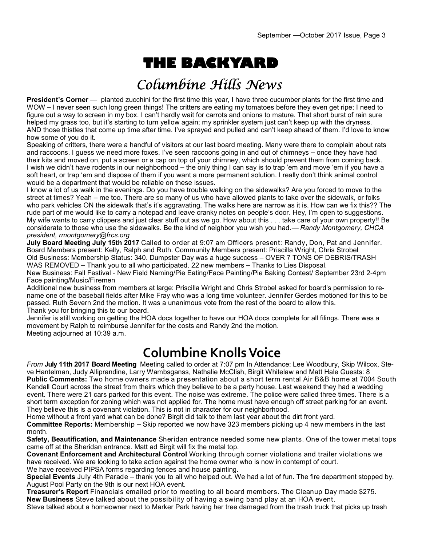## **THE BACKYARD**

### Columbine Hills News

**President's Corner** — planted zucchini for the first time this year, I have three cucumber plants for the first time and WOW – I never seen such long green things! The critters are eating my tomatoes before they even get ripe; I need to figure out a way to screen in my box. I can't hardly wait for carrots and onions to mature. That short burst of rain sure helped my grass too, but it's starting to turn yellow again; my sprinkler system just can't keep up with the dryness. AND those thistles that come up time after time. I've sprayed and pulled and can't keep ahead of them. I'd love to know how some of you do it.

Speaking of critters, there were a handful of visitors at our last board meeting. Many were there to complain about rats and raccoons. I guess we need more foxes. I've seen raccoons going in and out of chimneys – once they have had their kits and moved on, put a screen or a cap on top of your chimney, which should prevent them from coming back. I wish we didn't have rodents in our neighborhood – the only thing I can say is to trap 'em and move 'em if you have a soft heart, or trap 'em and dispose of them if you want a more permanent solution. I really don't think animal control would be a department that would be reliable on these issues.

I know a lot of us walk in the evenings. Do you have trouble walking on the sidewalks? Are you forced to move to the street at times? Yeah – me too. There are so many of us who have allowed plants to take over the sidewalk, or folks who park vehicles ON the sidewalk that's it's aggravating. The walks here are narrow as it is. How can we fix this?? The rude part of me would like to carry a notepad and leave cranky notes on people's door. Hey, I'm open to suggestions. My wife wants to carry clippers and just clear stuff out as we go. How about this . . . take care of your own property!! Be considerate to those who use the sidewalks. Be the kind of neighbor you wish you had.— *Randy Montgomery, CHCA president, rmontgomery@frcs.org*

**July Board Meeting July 15th 2017** Called to order at 9:07 am Officers present: Randy, Don, Pat and Jennifer. Board Members present: Kelly, Ralph and Ruth. Community Members present: Priscilla Wright, Chris Strobel Old Business: Membership Status: 340. Dumpster Day was a huge success – OVER 7 TONS OF DEBRIS/TRASH WAS REMOVED – Thank you to all who participated. 22 new members – Thanks to Lies Disposal.

New Business: Fall Festival - New Field Naming/Pie Eating/Face Painting/Pie Baking Contest/ September 23rd 2-4pm Face painting/Music/Firemen

Additional new business from members at large: Priscilla Wright and Chris Strobel asked for board's permission to rename one of the baseball fields after Mike Fray who was a long time volunteer. Jennifer Gerdes motioned for this to be passed. Ruth Severn 2nd the motion. It was a unanimous vote from the rest of the board to allow this. Thank you for bringing this to our board.

Jennifer is still working on getting the HOA docs together to have our HOA docs complete for all filings. There was a movement by Ralph to reimburse Jennifer for the costs and Randy 2nd the motion. Meeting adjourned at 10:39 a.m.

#### **Columbine Knolls Voice**

*From* **July 11th 2017 Board Meeting** Meeting called to order at 7:07 pm In Attendance: Lee Woodbury, Skip Wilcox, Steve Hantelman, Judy Alliprandine, Larry Wambsganss, Nathalie McClish, Birgit Whitelaw and Matt Hale Guests: 8 **Public Comments:** Two home owners made a presentation about a short term rental Air B&B home at 7004 South Kendall Court across the street from theirs which they believe to be a party house. Last weekend they had a wedding event. There were 21 cars parked for this event. The noise was extreme. The police were called three times. There is a short term exception for zoning which was not applied for. The home must have enough off street parking for an event. They believe this is a covenant violation. This is not in character for our neighborhood.

Home without a front yard what can be done? Birgit did talk to them last year about the dirt front yard.

**Committee Reports:** Membership – Skip reported we now have 323 members picking up 4 new members in the last month.

**Safety, Beautification, and Maintenance** Sheridan entrance needed some new plants. One of the tower metal tops came off at the Sheridan entrance. Matt ad Birgit will fix the metal top.

**Covenant Enforcement and Architectural Control** Working through corner violations and trailer violations we have received. We are looking to take action against the home owner who is now in contempt of court.

We have received PIPSA forms regarding fences and house painting.

**Special Events** July 4th Parade – thank you to all who helped out. We had a lot of fun. The fire department stopped by. August Pool Party on the 9th is our next HOA event.

**Treasurer's Report** Financials emailed prior to meeting to all board members. The Cleanup Day made \$275. **New Business** Steve talked about the possibility of having a swing band play at an HOA event.

Steve talked about a homeowner next to Marker Park having her tree damaged from the trash truck that picks up trash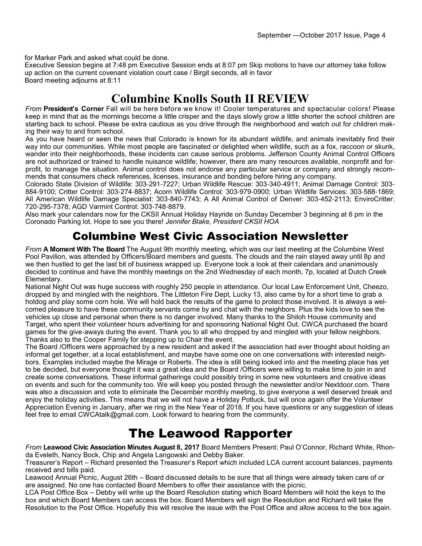for Marker Park and asked what could be done.

Executive Session begins at 7:48 pm Executive Session ends at 8:07 pm Skip motions to have our attorney take follow up action on the current covenant violation court case / Birgit seconds, all in favor Board meeting adjourns at 8:11

#### **Columbine Knolls South II REVIEW**

*From* **President's Corner** Fall will be here before we know it! Cooler temperatures and spectacular colors! Please keep in mind that as the mornings become a little crisper and the days slowly grow a little shorter the school children are starting back to school. Please be extra cautious as you drive through the neighborhood and watch out for children making their way to and from school.

As you have heard or seen the news that Colorado is known for its abundant wildlife, and animals inevitably find their way into our communities. While most people are fascinated or delighted when wildlife, such as a fox, raccoon or skunk, wander into their neighborhoods, these incidents can cause serious problems. Jefferson County Animal Control Officers are not authorized or trained to handle nuisance wildlife; however, there are many resources available, nonprofit and forprofit, to manage the situation. Animal control does not endorse any particular service or company and strongly recommends that consumers check references, licenses, insurance and bonding before hiring any company.

Colorado State Division of Wildlife: 303-291-7227; Urban Wildlife Rescue: 303-340-4911; Animal Damage Control: 303- 884-9100; Critter Control: 303-274-8837; Acorn Wildlife Control: 303-979-0900; Urban Wildlife Services: 303-588-1869; All American Wildlife Damage Specialist: 303-840-7743; A All Animal Control of Denver: 303-452-2113; EnviroCritter: 720-295-7378; AGD Varmint Control: 303-748-8879.

Also mark your calendars now for the CKSII Annual Holiday Hayride on Sunday December 3 beginning at 6 pm in the Coronado Parking lot. Hope to see you there! *Jennifer Blake, President CKSII HOA*

#### Columbine West Civic Association Newsletter

*From* **A Moment With The Board** The August 9th monthly meeting, which was our last meeting at the Columbine West Pool Pavilion, was attended by Officers/Board members and guests. The clouds and the rain stayed away until 8p and we then hustled to get the last bit of business wrapped up. Everyone took a look at their calendars and unanimously decided to continue and have the monthly meetings on the 2nd Wednesday of each month, 7p, located at Dutch Creek Elementary.

National Night Out was huge success with roughly 250 people in attendance. Our local Law Enforcement Unit, Cheezo, dropped by and mingled with the neighbors. The Littleton Fire Dept, Lucky 13, also came by for a short time to grab a hotdog and play some corn hole. We will hold back the results of the game to protect those involved. It is always a welcomed pleasure to have these community servants come by and chat with the neighbors. Plus the kids love to see the vehicles up close and personal when there is no danger involved. Many thanks to the Shiloh House community and Target, who spent their volunteer hours advertising for and sponsoring National Night Out. CWCA purchased the board games for the give-aways during the event. Thank you to all who dropped by and mingled with your fellow neighbors. Thanks also to the Cooper Family for stepping up to Chair the event.

The Board /Officers were approached by a new resident and asked if the association had ever thought about holding an informal get together, at a local establishment, and maybe have some one on one conversations with interested neighbors. Examples included maybe the Mirage or Roberts. The idea is still being looked into and the meeting place has yet to be decided, but everyone thought it was a great idea and the Board /Officers were willing to make time to join in and create some conversations. These informal gatherings could possibly bring in some new volunteers and creative ideas on events and such for the community too. We will keep you posted through the newsletter and/or Nextdoor.com. There was also a discussion and vote to eliminate the December monthly meeting, to give everyone a well deserved break and enjoy the holiday activities. This means that we will not have a Holiday Potluck, but will once again offer the Volunteer Appreciation Evening in January, after we ring in the New Year of 2018. If you have questions or any suggestion of ideas feel free to email CWCAtalk@gmail.com. Look forward to hearing from the community.

#### The Leawood Rapporter

*From* **Leawood Civic Association Minutes August 8, 2017** Board Members Present: Paul O'Connor, Richard White, Rhonda Eveleth, Nancy Bock, Chip and Angela Langowski and Debby Baker.

Treasurer's Report – Richard presented the Treasurer's Report which included LCA current account balances, payments received and bills paid.

Leawood Annual Picnic, August 26th – Board discussed details to be sure that all things were already taken care of or are assigned. No one has contacted Board Members to offer their assistance with the picnic.

LCA Post Office Box – Debby will write up the Board Resolution stating which Board Members will hold the keys to the box and which Board Members can access the box. Board Members will sign the Resolution and Richard will take the Resolution to the Post Office. Hopefully this will resolve the issue with the Post Office and allow access to the box again.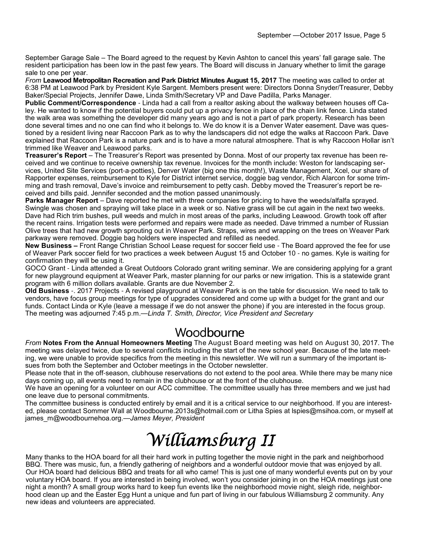September Garage Sale – The Board agreed to the request by Kevin Ashton to cancel this years' fall garage sale. The resident participation has been low in the past few years. The Board will discuss in January whether to limit the garage sale to one per year.

*From* **Leawood Metropolitan Recreation and Park District Minutes August 15, 2017** The meeting was called to order at 6:38 PM at Leawood Park by President Kyle Sargent. Members present were: Directors Donna Snyder/Treasurer, Debby Baker/Special Projects, Jennifer Dawe, Linda Smith/Secretary VP and Dave Padilla, Parks Manager.

**Public Comment/Correspondence** - Linda had a call from a realtor asking about the walkway between houses off Caley. He wanted to know if the potential buyers could put up a privacy fence in place of the chain link fence. Linda stated the walk area was something the developer did many years ago and is not a part of park property. Research has been done several times and no one can find who it belongs to. We do know it is a Denver Water easement. Dave was questioned by a resident living near Raccoon Park as to why the landscapers did not edge the walks at Raccoon Park. Dave explained that Raccoon Park is a nature park and is to have a more natural atmosphere. That is why Raccoon Hollar isn't trimmed like Weaver and Leawood parks.

**Treasurer's Report** – The Treasurer's Report was presented by Donna. Most of our property tax revenue has been received and we continue to receive ownership tax revenue. Invoices for the month include: Weston for landscaping services, United Site Services (port-a-potties), Denver Water (big one this month!), Waste Management, Xcel, our share of Rapporter expenses, reimbursement to Kyle for District internet service, doggie bag vendor, Rich Alarcon for some trimming and trash removal, Dave's invoice and reimbursement to petty cash. Debby moved the Treasurer's report be received and bills paid. Jennifer seconded and the motion passed unanimously.

**Parks Manager Report** – Dave reported he met with three companies for pricing to have the weeds/alfalfa sprayed. Swingle was chosen and spraying will take place in a week or so. Native grass will be cut again in the next two weeks. Dave had Rich trim bushes, pull weeds and mulch in most areas of the parks, including Leawood. Growth took off after the recent rains. Irrigation tests were performed and repairs were made as needed. Dave trimmed a number of Russian Olive trees that had new growth sprouting out in Weaver Park. Straps, wires and wrapping on the trees on Weaver Park parkway were removed. Doggie bag holders were inspected and refilled as needed.

**New Business –** Front Range Christian School Lease request for soccer field use - The Board approved the fee for use of Weaver Park soccer field for two practices a week between August 15 and October 10 - no games. Kyle is waiting for confirmation they will be using it.

GOCO Grant - Linda attended a Great Outdoors Colorado grant writing seminar. We are considering applying for a grant for new playground equipment at Weaver Park, master planning for our parks or new irrigation. This is a statewide grant program with 6 million dollars available. Grants are due November 2.

**Old Business** -. 2017 Projects - A revised playground at Weaver Park is on the table for discussion. We need to talk to vendors, have focus group meetings for type of upgrades considered and come up with a budget for the grant and our funds. Contact Linda or Kyle (leave a message if we do not answer the phone) if you are interested in the focus group. The meeting was adjourned 7:45 p.m.—*Linda T. Smith, Director, Vice President and Secretary*

#### Woodbourne

*From* **Notes From the Annual Homeowners Meeting** The August Board meeting was held on August 30, 2017. The meeting was delayed twice, due to several conflicts including the start of the new school year. Because of the late meeting, we were unable to provide specifics from the meeting in this newsletter. We will run a summary of the important issues from both the September and October meetings in the October newsletter.

Please note that in the off-season, clubhouse reservations do not extend to the pool area. While there may be many nice days coming up, all events need to remain in the clubhouse or at the front of the clubhouse.

We have an opening for a volunteer on our ACC committee. The committee usually has three members and we just had one leave due to personal commitments.

The committee business is conducted entirely by email and it is a critical service to our neighborhood. If you are interested, please contact Sommer Wall at Woodbourne.2013s@hotmail.com or Litha Spies at lspies@msihoa.com, or myself at james\_m@woodbournehoa.org.—*James Meyer, President*

# Williamsburg II

Many thanks to the HOA board for all their hard work in putting together the movie night in the park and neighborhood BBQ. There was music, fun, a friendly gathering of neighbors and a wonderful outdoor movie that was enjoyed by all. Our HOA board had delicious BBQ and treats for all who came! This is just one of many wonderful events put on by your voluntary HOA board. If you are interested in being involved, won't you consider joining in on the HOA meetings just one night a month? A small group works hard to keep fun events like the neighborhood movie night, sleigh ride, neighborhood clean up and the Easter Egg Hunt a unique and fun part of living in our fabulous Williamsburg 2 community. Any new ideas and volunteers are appreciated.